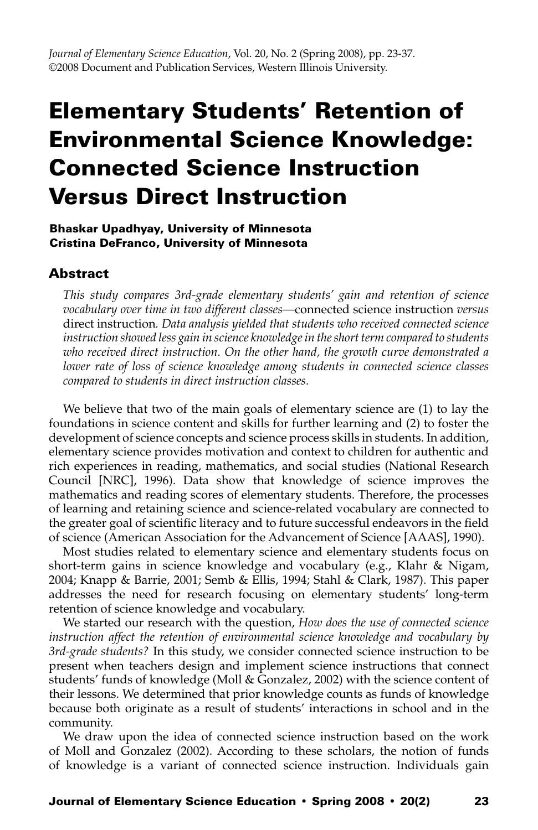# Elementary Students' Retention of Environmental Science Knowledge: Connected Science Instruction Versus Direct Instruction

## Bhaskar Upadhyay, University of Minnesota Cristina DeFranco, University of Minnesota

## **Abstract**

*This study compares 3rd-grade elementary students' gain and retention of science vocabulary over time in two different classes—*connected science instruction *versus*  direct instruction*. Data analysis yielded that students who received connected science instruction showed less gain in science knowledge in the short term compared to students who received direct instruction. On the other hand, the growth curve demonstrated a lower rate of loss of science knowledge among students in connected science classes compared to students in direct instruction classes.*

We believe that two of the main goals of elementary science are (1) to lay the foundations in science content and skills for further learning and (2) to foster the development of science concepts and science process skills in students. In addition, elementary science provides motivation and context to children for authentic and rich experiences in reading, mathematics, and social studies (National Research Council [NRC], 1996). Data show that knowledge of science improves the mathematics and reading scores of elementary students. Therefore, the processes of learning and retaining science and science-related vocabulary are connected to the greater goal of scientific literacy and to future successful endeavors in the field of science (American Association for the Advancement of Science [AAAS], 1990).

Most studies related to elementary science and elementary students focus on short-term gains in science knowledge and vocabulary (e.g., Klahr & Nigam, 2004; Knapp & Barrie, 2001; Semb & Ellis, 1994; Stahl & Clark, 1987). This paper addresses the need for research focusing on elementary students' long-term retention of science knowledge and vocabulary.

We started our research with the question, *How does the use of connected science instruction affect the retention of environmental science knowledge and vocabulary by 3rd-grade students?* In this study, we consider connected science instruction to be present when teachers design and implement science instructions that connect students' funds of knowledge (Moll & Gonzalez, 2002) with the science content of their lessons. We determined that prior knowledge counts as funds of knowledge because both originate as a result of students' interactions in school and in the community.

We draw upon the idea of connected science instruction based on the work of Moll and Gonzalez (2002). According to these scholars, the notion of funds of knowledge is a variant of connected science instruction. Individuals gain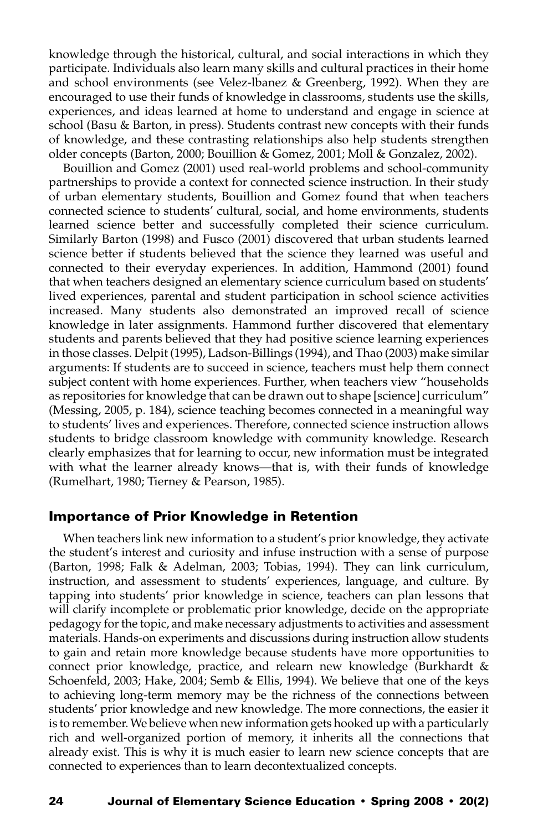knowledge through the historical, cultural, and social interactions in which they participate. Individuals also learn many skills and cultural practices in their home and school environments (see Velez-lbanez & Greenberg, 1992). When they are encouraged to use their funds of knowledge in classrooms, students use the skills, experiences, and ideas learned at home to understand and engage in science at school (Basu & Barton, in press). Students contrast new concepts with their funds of knowledge, and these contrasting relationships also help students strengthen older concepts (Barton, 2000; Bouillion & Gomez, 2001; Moll & Gonzalez, 2002).

Bouillion and Gomez (2001) used real-world problems and school-community partnerships to provide a context for connected science instruction. In their study of urban elementary students, Bouillion and Gomez found that when teachers connected science to students' cultural, social, and home environments, students learned science better and successfully completed their science curriculum. Similarly Barton (1998) and Fusco (2001) discovered that urban students learned science better if students believed that the science they learned was useful and connected to their everyday experiences. In addition, Hammond (2001) found that when teachers designed an elementary science curriculum based on students' lived experiences, parental and student participation in school science activities increased. Many students also demonstrated an improved recall of science knowledge in later assignments. Hammond further discovered that elementary students and parents believed that they had positive science learning experiences in those classes. Delpit (1995), Ladson-Billings (1994), and Thao (2003) make similar arguments: If students are to succeed in science, teachers must help them connect subject content with home experiences. Further, when teachers view "households as repositories for knowledge that can be drawn out to shape [science] curriculum" (Messing, 2005, p. 184), science teaching becomes connected in a meaningful way to students' lives and experiences. Therefore, connected science instruction allows students to bridge classroom knowledge with community knowledge. Research clearly emphasizes that for learning to occur, new information must be integrated with what the learner already knows—that is, with their funds of knowledge (Rumelhart, 1980; Tierney & Pearson, 1985).

## Importance of Prior Knowledge in Retention

When teachers link new information to a student's prior knowledge, they activate the student's interest and curiosity and infuse instruction with a sense of purpose (Barton, 1998; Falk & Adelman, 2003; Tobias, 1994). They can link curriculum, instruction, and assessment to students' experiences, language, and culture. By tapping into students' prior knowledge in science, teachers can plan lessons that will clarify incomplete or problematic prior knowledge, decide on the appropriate pedagogy for the topic, and make necessary adjustments to activities and assessment materials. Hands-on experiments and discussions during instruction allow students to gain and retain more knowledge because students have more opportunities to connect prior knowledge, practice, and relearn new knowledge (Burkhardt & Schoenfeld, 2003; Hake, 2004; Semb & Ellis, 1994). We believe that one of the keys to achieving long-term memory may be the richness of the connections between students' prior knowledge and new knowledge. The more connections, the easier it is to remember. We believe when new information gets hooked up with a particularly rich and well-organized portion of memory, it inherits all the connections that already exist. This is why it is much easier to learn new science concepts that are connected to experiences than to learn decontextualized concepts.

#### 24 Journal of Elementary Science Education • Spring 2008 • 20(2)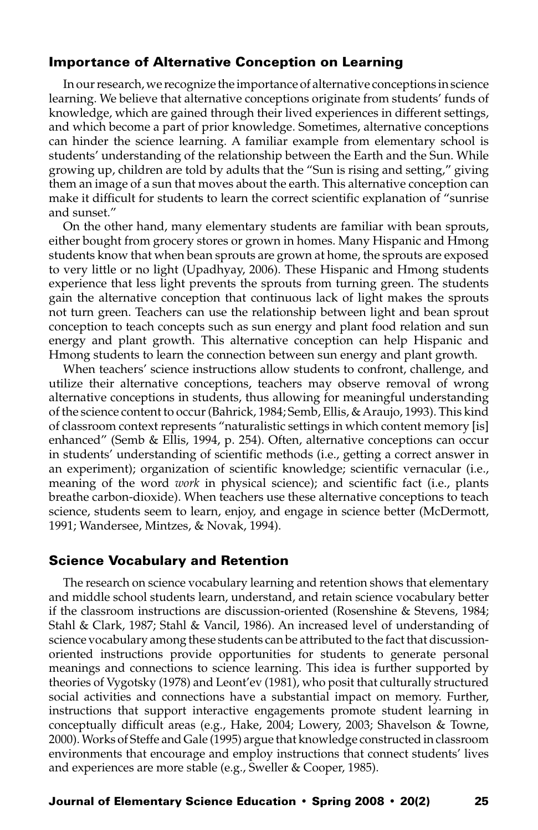## Importance of Alternative Conception on Learning

In our research, we recognize the importance of alternative conceptions in science learning. We believe that alternative conceptions originate from students' funds of knowledge, which are gained through their lived experiences in different settings, and which become a part of prior knowledge. Sometimes, alternative conceptions can hinder the science learning. A familiar example from elementary school is students' understanding of the relationship between the Earth and the Sun. While growing up, children are told by adults that the "Sun is rising and setting," giving them an image of a sun that moves about the earth. This alternative conception can make it difficult for students to learn the correct scientific explanation of "sunrise and sunset."

On the other hand, many elementary students are familiar with bean sprouts, either bought from grocery stores or grown in homes. Many Hispanic and Hmong students know that when bean sprouts are grown at home, the sprouts are exposed to very little or no light (Upadhyay, 2006). These Hispanic and Hmong students experience that less light prevents the sprouts from turning green. The students gain the alternative conception that continuous lack of light makes the sprouts not turn green. Teachers can use the relationship between light and bean sprout conception to teach concepts such as sun energy and plant food relation and sun energy and plant growth. This alternative conception can help Hispanic and Hmong students to learn the connection between sun energy and plant growth.

When teachers' science instructions allow students to confront, challenge, and utilize their alternative conceptions, teachers may observe removal of wrong alternative conceptions in students, thus allowing for meaningful understanding of the science content to occur (Bahrick, 1984; Semb, Ellis, & Araujo, 1993). This kind of classroom context represents "naturalistic settings in which content memory [is] enhanced" (Semb & Ellis, 1994, p. 254). Often, alternative conceptions can occur in students' understanding of scientific methods (i.e., getting a correct answer in an experiment); organization of scientific knowledge; scientific vernacular (i.e., meaning of the word *work* in physical science); and scientific fact (i.e., plants breathe carbon-dioxide). When teachers use these alternative conceptions to teach science, students seem to learn, enjoy, and engage in science better (McDermott, 1991; Wandersee, Mintzes, & Novak, 1994).

## Science Vocabulary and Retention

The research on science vocabulary learning and retention shows that elementary and middle school students learn, understand, and retain science vocabulary better if the classroom instructions are discussion-oriented (Rosenshine & Stevens, 1984; Stahl & Clark, 1987; Stahl & Vancil, 1986). An increased level of understanding of science vocabulary among these students can be attributed to the fact that discussionoriented instructions provide opportunities for students to generate personal meanings and connections to science learning. This idea is further supported by theories of Vygotsky (1978) and Leont'ev (1981), who posit that culturally structured social activities and connections have a substantial impact on memory. Further, instructions that support interactive engagements promote student learning in conceptually difficult areas (e.g., Hake, 2004; Lowery, 2003; Shavelson & Towne, 2000). Works of Steffe and Gale (1995) argue that knowledge constructed in classroom environments that encourage and employ instructions that connect students' lives and experiences are more stable (e.g., Sweller & Cooper, 1985).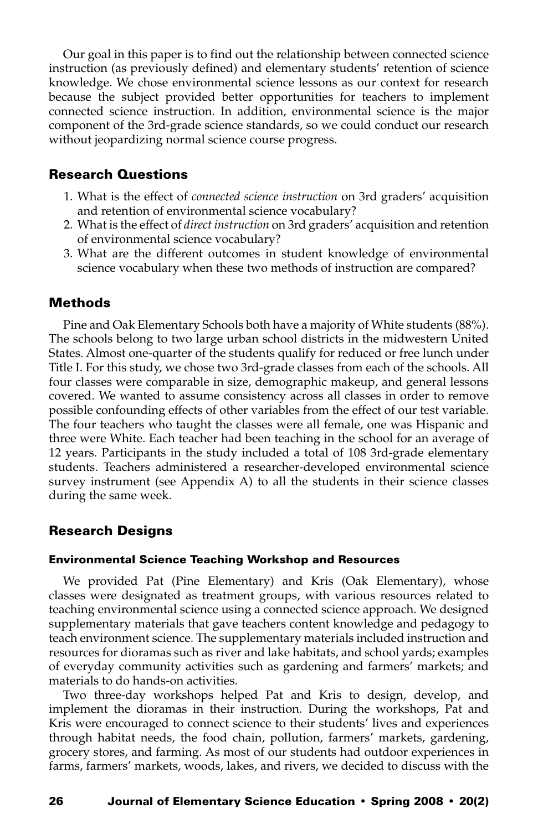Our goal in this paper is to find out the relationship between connected science instruction (as previously defined) and elementary students' retention of science knowledge. We chose environmental science lessons as our context for research because the subject provided better opportunities for teachers to implement connected science instruction. In addition, environmental science is the major component of the 3rd-grade science standards, so we could conduct our research without jeopardizing normal science course progress.

## Research Questions

- 1. What is the effect of *connected science instruction* on 3rd graders' acquisition and retention of environmental science vocabulary?
- 2. What is the effect of *direct instruction* on 3rd graders' acquisition and retention of environmental science vocabulary?
- 3. What are the different outcomes in student knowledge of environmental science vocabulary when these two methods of instruction are compared?

## Methods

Pine and Oak Elementary Schools both have a majority of White students (88%). The schools belong to two large urban school districts in the midwestern United States. Almost one-quarter of the students qualify for reduced or free lunch under Title I. For this study, we chose two 3rd-grade classes from each of the schools. All four classes were comparable in size, demographic makeup, and general lessons covered. We wanted to assume consistency across all classes in order to remove possible confounding effects of other variables from the effect of our test variable. The four teachers who taught the classes were all female, one was Hispanic and three were White. Each teacher had been teaching in the school for an average of 12 years. Participants in the study included a total of 108 3rd-grade elementary students. Teachers administered a researcher-developed environmental science survey instrument (see Appendix A) to all the students in their science classes during the same week.

## Research Designs

#### Environmental Science Teaching Workshop and Resources

We provided Pat (Pine Elementary) and Kris (Oak Elementary), whose classes were designated as treatment groups, with various resources related to teaching environmental science using a connected science approach. We designed supplementary materials that gave teachers content knowledge and pedagogy to teach environment science. The supplementary materials included instruction and resources for dioramas such as river and lake habitats, and school yards; examples of everyday community activities such as gardening and farmers' markets; and materials to do hands-on activities.

Two three-day workshops helped Pat and Kris to design, develop, and implement the dioramas in their instruction. During the workshops, Pat and Kris were encouraged to connect science to their students' lives and experiences through habitat needs, the food chain, pollution, farmers' markets, gardening, grocery stores, and farming. As most of our students had outdoor experiences in farms, farmers' markets, woods, lakes, and rivers, we decided to discuss with the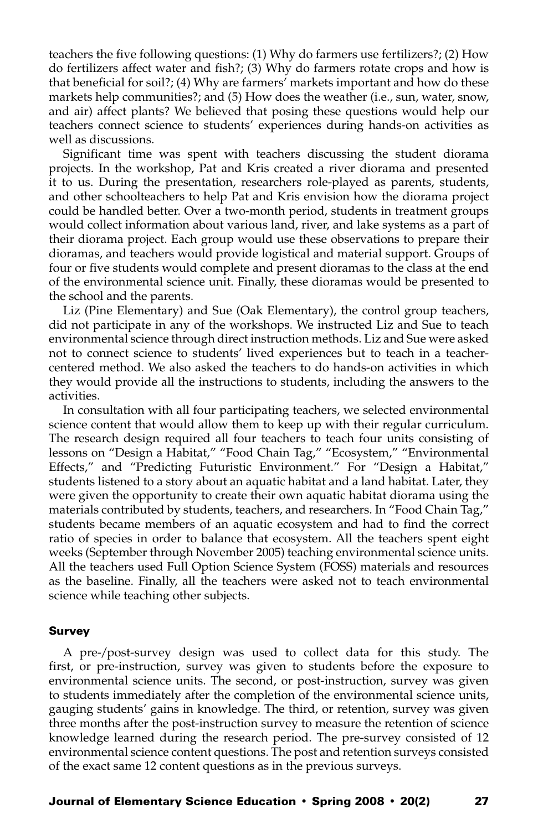teachers the five following questions: (1) Why do farmers use fertilizers?; (2) How do fertilizers affect water and fish?; (3) Why do farmers rotate crops and how is that beneficial for soil?; (4) Why are farmers' markets important and how do these markets help communities?; and (5) How does the weather (i.e., sun, water, snow, and air) affect plants? We believed that posing these questions would help our teachers connect science to students' experiences during hands-on activities as well as discussions.

Significant time was spent with teachers discussing the student diorama projects. In the workshop, Pat and Kris created a river diorama and presented it to us. During the presentation, researchers role-played as parents, students, and other schoolteachers to help Pat and Kris envision how the diorama project could be handled better. Over a two-month period, students in treatment groups would collect information about various land, river, and lake systems as a part of their diorama project. Each group would use these observations to prepare their dioramas, and teachers would provide logistical and material support. Groups of four or five students would complete and present dioramas to the class at the end of the environmental science unit. Finally, these dioramas would be presented to the school and the parents.

Liz (Pine Elementary) and Sue (Oak Elementary), the control group teachers, did not participate in any of the workshops. We instructed Liz and Sue to teach environmental science through direct instruction methods. Liz and Sue were asked not to connect science to students' lived experiences but to teach in a teachercentered method. We also asked the teachers to do hands-on activities in which they would provide all the instructions to students, including the answers to the activities.

In consultation with all four participating teachers, we selected environmental science content that would allow them to keep up with their regular curriculum. The research design required all four teachers to teach four units consisting of lessons on "Design a Habitat," "Food Chain Tag," "Ecosystem," "Environmental Effects," and "Predicting Futuristic Environment." For "Design a Habitat," students listened to a story about an aquatic habitat and a land habitat. Later, they were given the opportunity to create their own aquatic habitat diorama using the materials contributed by students, teachers, and researchers. In "Food Chain Tag," students became members of an aquatic ecosystem and had to find the correct ratio of species in order to balance that ecosystem. All the teachers spent eight weeks (September through November 2005) teaching environmental science units. All the teachers used Full Option Science System (FOSS) materials and resources as the baseline. Finally, all the teachers were asked not to teach environmental science while teaching other subjects.

#### Survey

A pre-/post-survey design was used to collect data for this study. The first, or pre-instruction, survey was given to students before the exposure to environmental science units. The second, or post-instruction, survey was given to students immediately after the completion of the environmental science units, gauging students' gains in knowledge. The third, or retention, survey was given three months after the post-instruction survey to measure the retention of science knowledge learned during the research period. The pre-survey consisted of 12 environmental science content questions. The post and retention surveys consisted of the exact same 12 content questions as in the previous surveys.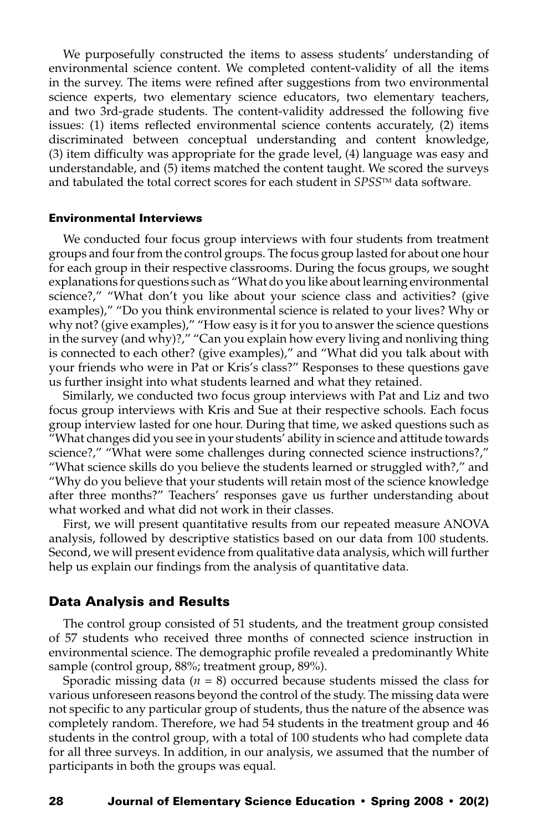We purposefully constructed the items to assess students' understanding of environmental science content. We completed content-validity of all the items in the survey. The items were refined after suggestions from two environmental science experts, two elementary science educators, two elementary teachers, and two 3rd-grade students. The content-validity addressed the following five issues: (1) items reflected environmental science contents accurately, (2) items discriminated between conceptual understanding and content knowledge, (3) item difficulty was appropriate for the grade level, (4) language was easy and understandable, and (5) items matched the content taught. We scored the surveys and tabulated the total correct scores for each student in *SPSS*TM data software.

#### Environmental Interviews

We conducted four focus group interviews with four students from treatment groups and four from the control groups. The focus group lasted for about one hour for each group in their respective classrooms. During the focus groups, we sought explanations for questions such as "What do you like about learning environmental science?," "What don't you like about your science class and activities? (give examples)," "Do you think environmental science is related to your lives? Why or why not? (give examples)," "How easy is it for you to answer the science questions in the survey (and why)?," "Can you explain how every living and nonliving thing is connected to each other? (give examples)," and "What did you talk about with your friends who were in Pat or Kris's class?" Responses to these questions gave us further insight into what students learned and what they retained.

Similarly, we conducted two focus group interviews with Pat and Liz and two focus group interviews with Kris and Sue at their respective schools. Each focus group interview lasted for one hour. During that time, we asked questions such as "What changes did you see in your students' ability in science and attitude towards science?," "What were some challenges during connected science instructions?," "What science skills do you believe the students learned or struggled with?," and "Why do you believe that your students will retain most of the science knowledge after three months?" Teachers' responses gave us further understanding about what worked and what did not work in their classes.

First, we will present quantitative results from our repeated measure ANOVA analysis, followed by descriptive statistics based on our data from 100 students. Second, we will present evidence from qualitative data analysis, which will further help us explain our findings from the analysis of quantitative data.

## Data Analysis and Results

The control group consisted of 51 students, and the treatment group consisted of 57 students who received three months of connected science instruction in environmental science. The demographic profile revealed a predominantly White sample (control group, 88%; treatment group, 89%).

Sporadic missing data (*n* = 8) occurred because students missed the class for various unforeseen reasons beyond the control of the study. The missing data were not specific to any particular group of students, thus the nature of the absence was completely random. Therefore, we had 54 students in the treatment group and 46 students in the control group, with a total of 100 students who had complete data for all three surveys. In addition, in our analysis, we assumed that the number of participants in both the groups was equal.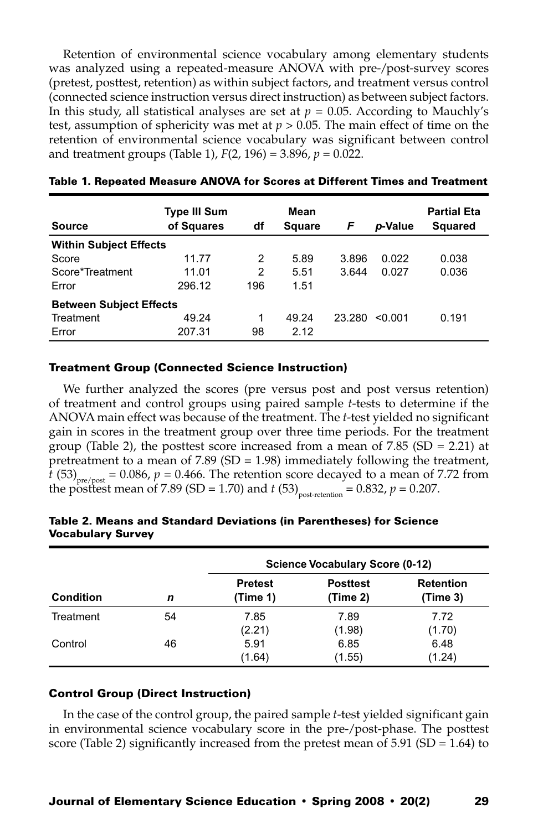Retention of environmental science vocabulary among elementary students was analyzed using a repeated-measure ANOVA with pre-/post-survey scores (pretest, posttest, retention) as within subject factors, and treatment versus control (connected science instruction versus direct instruction) as between subject factors. In this study, all statistical analyses are set at  $p = 0.05$ . According to Mauchly's test, assumption of sphericity was met at *p* > 0.05. The main effect of time on the retention of environmental science vocabulary was significant between control and treatment groups (Table 1), *F*(2, 196) = 3.896, *p* = 0.022.

| <b>Source</b>                  | <b>Type III Sum</b><br>of Squares | df  | Mean<br><b>Square</b> | F      | p-Value | <b>Partial Eta</b><br><b>Squared</b> |  |  |
|--------------------------------|-----------------------------------|-----|-----------------------|--------|---------|--------------------------------------|--|--|
| <b>Within Subject Effects</b>  |                                   |     |                       |        |         |                                      |  |  |
| Score                          | 11.77                             | 2   | 5.89                  | 3.896  | 0.022   | 0.038                                |  |  |
| Score*Treatment                | 11.01                             | 2   | 5.51                  | 3.644  | 0.027   | 0.036                                |  |  |
| Error                          | 296.12                            | 196 | 1.51                  |        |         |                                      |  |  |
| <b>Between Subject Effects</b> |                                   |     |                       |        |         |                                      |  |  |
| Treatment                      | 49.24                             | 1   | 49.24                 | 23.280 | < 0.001 | 0.191                                |  |  |
| Error                          | 207.31                            | 98  | 2.12                  |        |         |                                      |  |  |

#### Table 1. Repeated Measure ANOVA for Scores at Different Times and Treatment

## Treatment Group (Connected Science Instruction)

We further analyzed the scores (pre versus post and post versus retention) of treatment and control groups using paired sample *t*-tests to determine if the ANOVA main effect was because of the treatment. The *t*-test yielded no significant gain in scores in the treatment group over three time periods. For the treatment group (Table 2), the posttest score increased from a mean of  $7.85$  (SD = 2.21) at pretreatment to a mean of  $7.89$  (SD = 1.98) immediately following the treatment, *t* (53)<sub>pre/post</sub> = 0.086,  $p = 0.466$ . The retention score decayed to a mean of 7.72 from the posttest mean of 7.89 (SD = 1.70) and *t* (53)<sub>post-retention</sub> = 0.832,  $p = 0.207$ .

| <b>Condition</b> |    | Science Vocabulary Score (0-12) |                             |                              |  |  |
|------------------|----|---------------------------------|-----------------------------|------------------------------|--|--|
|                  | n  | <b>Pretest</b><br>(Time 1)      | <b>Posttest</b><br>(Time 2) | <b>Retention</b><br>(Time 3) |  |  |
| Treatment        | 54 | 7.85<br>(2.21)                  | 7.89<br>(1.98)              | 7.72<br>(1.70)               |  |  |
| Control          | 46 | 5.91<br>(1.64)                  | 6.85<br>(1.55)              | 6.48<br>(1.24)               |  |  |

## Table 2. Means and Standard Deviations (in Parentheses) for Science Vocabulary Survey

## Control Group (Direct Instruction)

In the case of the control group, the paired sample *t*-test yielded significant gain in environmental science vocabulary score in the pre-/post-phase. The posttest score (Table 2) significantly increased from the pretest mean of 5.91 (SD = 1.64) to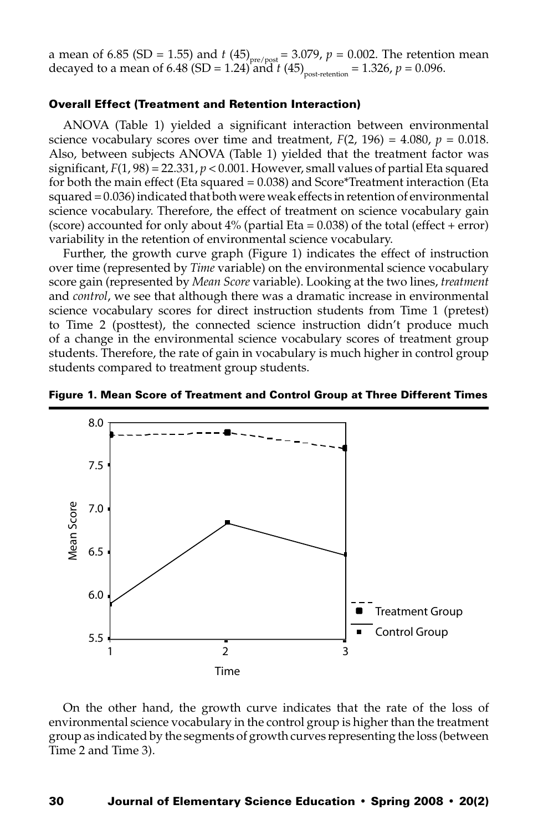a mean of 6.85 (SD = 1.55) and *t* (45)<sub>pre/post</sub> = 3.079,  $p = 0.002$ . The retention mean decayed to a mean of 6.48 (SD = 1.24) and *t* (45)<sub>post-retention</sub> = 1.326,  $p = 0.096$ .

## Overall Effect (Treatment and Retention Interaction)

ANOVA (Table 1) yielded a significant interaction between environmental science vocabulary scores over time and treatment,  $F(2, 196) = 4.080$ ,  $p = 0.018$ . Also, between subjects ANOVA (Table 1) yielded that the treatment factor was significant,  $F(1, 98) = 22.331$ ,  $p < 0.001$ . However, small values of partial Eta squared for both the main effect (Eta squared = 0.038) and Score\*Treatment interaction (Eta squared = 0.036) indicated that both were weak effects in retention of environmental science vocabulary. Therefore, the effect of treatment on science vocabulary gain (score) accounted for only about  $4\%$  (partial Eta = 0.038) of the total (effect + error) variability in the retention of environmental science vocabulary.

Further, the growth curve graph (Figure 1) indicates the effect of instruction over time (represented by *Time* variable) on the environmental science vocabulary score gain (represented by *Mean Score* variable). Looking at the two lines, *treatment* and *control*, we see that although there was a dramatic increase in environmental science vocabulary scores for direct instruction students from Time 1 (pretest) to Time 2 (posttest), the connected science instruction didn't produce much of a change in the environmental science vocabulary scores of treatment group students. Therefore, the rate of gain in vocabulary is much higher in control group students compared to treatment group students.



Figure 1. Mean Score of Treatment and Control Group at Three Different Times

On the other hand, the growth curve indicates that the rate of the loss of environmental science vocabulary in the control group is higher than the treatment group as indicated by the segments of growth curves representing the loss (between Time 2 and Time 3).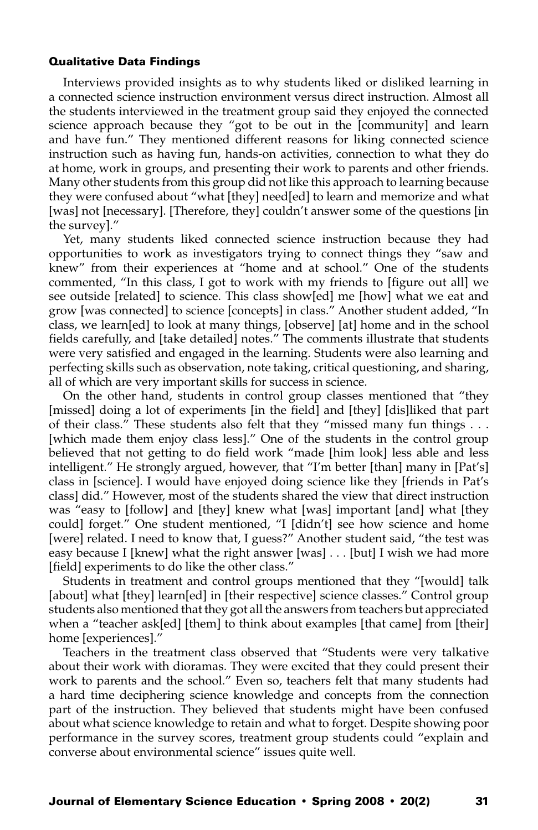## Qualitative Data Findings

Interviews provided insights as to why students liked or disliked learning in a connected science instruction environment versus direct instruction. Almost all the students interviewed in the treatment group said they enjoyed the connected science approach because they "got to be out in the [community] and learn and have fun." They mentioned different reasons for liking connected science instruction such as having fun, hands-on activities, connection to what they do at home, work in groups, and presenting their work to parents and other friends. Many other students from this group did not like this approach to learning because they were confused about "what [they] need[ed] to learn and memorize and what [was] not [necessary]. [Therefore, they] couldn't answer some of the questions [in the survey]."

Yet, many students liked connected science instruction because they had opportunities to work as investigators trying to connect things they "saw and knew" from their experiences at "home and at school." One of the students commented, "In this class, I got to work with my friends to [figure out all] we see outside [related] to science. This class show[ed] me [how] what we eat and grow [was connected] to science [concepts] in class." Another student added, "In class, we learn[ed] to look at many things, [observe] [at] home and in the school fields carefully, and [take detailed] notes." The comments illustrate that students were very satisfied and engaged in the learning. Students were also learning and perfecting skills such as observation, note taking, critical questioning, and sharing, all of which are very important skills for success in science.

On the other hand, students in control group classes mentioned that "they [missed] doing a lot of experiments [in the field] and [they] [dis]liked that part of their class." These students also felt that they "missed many fun things . . . [which made them enjoy class less]." One of the students in the control group believed that not getting to do field work "made [him look] less able and less intelligent." He strongly argued, however, that "I'm better [than] many in [Pat's] class in [science]. I would have enjoyed doing science like they [friends in Pat's class] did." However, most of the students shared the view that direct instruction was "easy to [follow] and [they] knew what [was] important [and] what [they could] forget." One student mentioned, "I [didn't] see how science and home [were] related. I need to know that, I guess?" Another student said, "the test was easy because I [knew] what the right answer [was] . . . [but] I wish we had more [field] experiments to do like the other class."

Students in treatment and control groups mentioned that they "[would] talk [about] what [they] learn[ed] in [their respective] science classes." Control group students also mentioned that they got all the answers from teachers but appreciated when a "teacher ask[ed] [them] to think about examples [that came] from [their] home [experiences]."

Teachers in the treatment class observed that "Students were very talkative about their work with dioramas. They were excited that they could present their work to parents and the school." Even so, teachers felt that many students had a hard time deciphering science knowledge and concepts from the connection part of the instruction. They believed that students might have been confused about what science knowledge to retain and what to forget. Despite showing poor performance in the survey scores, treatment group students could "explain and converse about environmental science" issues quite well.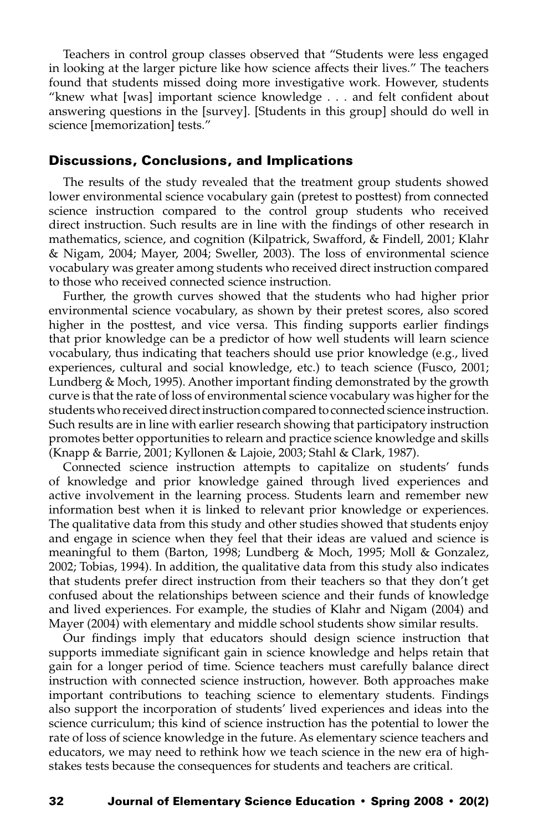Teachers in control group classes observed that "Students were less engaged in looking at the larger picture like how science affects their lives." The teachers found that students missed doing more investigative work. However, students "knew what [was] important science knowledge . . . and felt confident about answering questions in the [survey]. [Students in this group] should do well in science [memorization] tests."

## Discussions, Conclusions, and Implications

The results of the study revealed that the treatment group students showed lower environmental science vocabulary gain (pretest to posttest) from connected science instruction compared to the control group students who received direct instruction. Such results are in line with the findings of other research in mathematics, science, and cognition (Kilpatrick, Swafford, & Findell, 2001; Klahr & Nigam, 2004; Mayer, 2004; Sweller, 2003). The loss of environmental science vocabulary was greater among students who received direct instruction compared to those who received connected science instruction.

Further, the growth curves showed that the students who had higher prior environmental science vocabulary, as shown by their pretest scores, also scored higher in the posttest, and vice versa. This finding supports earlier findings that prior knowledge can be a predictor of how well students will learn science vocabulary, thus indicating that teachers should use prior knowledge (e.g., lived experiences, cultural and social knowledge, etc.) to teach science (Fusco, 2001; Lundberg & Moch, 1995). Another important finding demonstrated by the growth curve is that the rate of loss of environmental science vocabulary was higher for the students who received direct instruction compared to connected science instruction. Such results are in line with earlier research showing that participatory instruction promotes better opportunities to relearn and practice science knowledge and skills (Knapp & Barrie, 2001; Kyllonen & Lajoie, 2003; Stahl & Clark, 1987).

Connected science instruction attempts to capitalize on students' funds of knowledge and prior knowledge gained through lived experiences and active involvement in the learning process. Students learn and remember new information best when it is linked to relevant prior knowledge or experiences. The qualitative data from this study and other studies showed that students enjoy and engage in science when they feel that their ideas are valued and science is meaningful to them (Barton, 1998; Lundberg & Moch, 1995; Moll & Gonzalez, 2002; Tobias, 1994). In addition, the qualitative data from this study also indicates that students prefer direct instruction from their teachers so that they don't get confused about the relationships between science and their funds of knowledge and lived experiences. For example, the studies of Klahr and Nigam (2004) and Mayer (2004) with elementary and middle school students show similar results.

Our findings imply that educators should design science instruction that supports immediate significant gain in science knowledge and helps retain that gain for a longer period of time. Science teachers must carefully balance direct instruction with connected science instruction, however. Both approaches make important contributions to teaching science to elementary students. Findings also support the incorporation of students' lived experiences and ideas into the science curriculum; this kind of science instruction has the potential to lower the rate of loss of science knowledge in the future. As elementary science teachers and educators, we may need to rethink how we teach science in the new era of highstakes tests because the consequences for students and teachers are critical.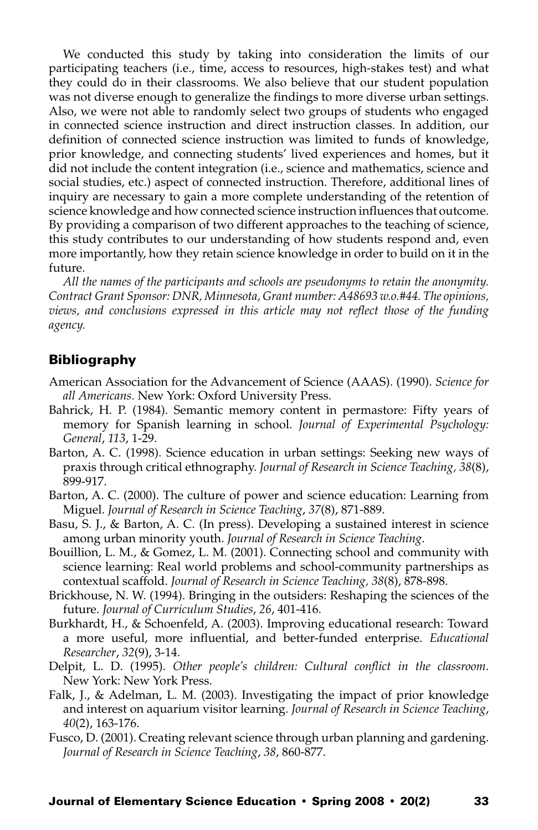We conducted this study by taking into consideration the limits of our participating teachers (i.e., time, access to resources, high-stakes test) and what they could do in their classrooms. We also believe that our student population was not diverse enough to generalize the findings to more diverse urban settings. Also, we were not able to randomly select two groups of students who engaged in connected science instruction and direct instruction classes. In addition, our definition of connected science instruction was limited to funds of knowledge, prior knowledge, and connecting students' lived experiences and homes, but it did not include the content integration (i.e., science and mathematics, science and social studies, etc.) aspect of connected instruction. Therefore, additional lines of inquiry are necessary to gain a more complete understanding of the retention of science knowledge and how connected science instruction influences that outcome. By providing a comparison of two different approaches to the teaching of science, this study contributes to our understanding of how students respond and, even more importantly, how they retain science knowledge in order to build on it in the future.

*All the names of the participants and schools are pseudonyms to retain the anonymity. Contract Grant Sponsor: DNR, Minnesota, Grant number: A48693 w.o.#44. The opinions, views, and conclusions expressed in this article may not reflect those of the funding agency.*

## Bibliography

- American Association for the Advancement of Science (AAAS). (1990). *Science for all Americans*. New York: Oxford University Press.
- Bahrick, H. P. (1984). Semantic memory content in permastore: Fifty years of memory for Spanish learning in school. *Journal of Experimental Psychology: General*, *113*, 1-29.
- Barton, A. C. (1998). Science education in urban settings: Seeking new ways of praxis through critical ethnography. *Journal of Research in Science Teaching, 38*(8), 899-917.
- Barton, A. C. (2000). The culture of power and science education: Learning from Miguel. *Journal of Research in Science Teaching*, *37*(8), 871-889.
- Basu, S. J., & Barton, A. C. (In press). Developing a sustained interest in science among urban minority youth. *Journal of Research in Science Teaching*.
- Bouillion, L. M., & Gomez, L. M. (2001). Connecting school and community with science learning: Real world problems and school-community partnerships as contextual scaffold. *Journal of Research in Science Teaching, 38*(8), 878-898.
- Brickhouse, N. W. (1994). Bringing in the outsiders: Reshaping the sciences of the future. *Journal of Curriculum Studies*, *26*, 401-416.
- Burkhardt, H., & Schoenfeld, A. (2003). Improving educational research: Toward a more useful, more influential, and better-funded enterprise. *Educational Researcher*, *32*(9), 3-14.
- Delpit, L. D. (1995). *Other people's children: Cultural conflict in the classroom*. New York: New York Press.
- Falk, J., & Adelman, L. M. (2003). Investigating the impact of prior knowledge and interest on aquarium visitor learning. *Journal of Research in Science Teaching*, *40*(2), 163-176.
- Fusco, D. (2001). Creating relevant science through urban planning and gardening. *Journal of Research in Science Teaching*, *38*, 860-877.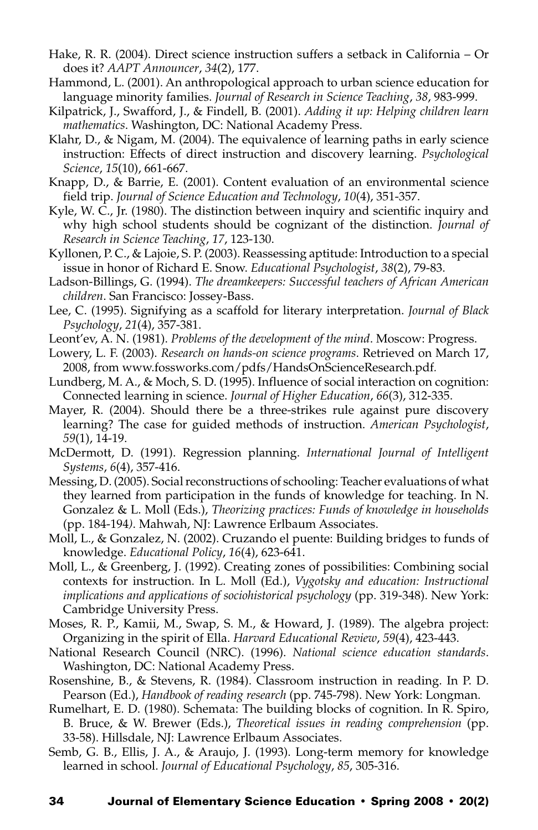- Hake, R. R. (2004). Direct science instruction suffers a setback in California Or does it? *AAPT Announcer*, *34*(2), 177.
- Hammond, L. (2001). An anthropological approach to urban science education for language minority families. *Journal of Research in Science Teaching*, *38*, 983-999.
- Kilpatrick, J., Swafford, J., & Findell, B. (2001). *Adding it up: Helping children learn mathematics*. Washington, DC: National Academy Press.
- Klahr, D., & Nigam, M. (2004). The equivalence of learning paths in early science instruction: Effects of direct instruction and discovery learning. *Psychological Science*, *15*(10), 661-667.
- Knapp, D., & Barrie, E. (2001). Content evaluation of an environmental science field trip. *Journal of Science Education and Technology*, *10*(4), 351-357.
- Kyle, W. C., Jr. (1980). The distinction between inquiry and scientific inquiry and why high school students should be cognizant of the distinction. *Journal of Research in Science Teaching*, *17*, 123-130.
- Kyllonen, P. C., & Lajoie, S. P. (2003). Reassessing aptitude: Introduction to a special issue in honor of Richard E. Snow. *Educational Psychologist*, *38*(2), 79-83.
- Ladson-Billings, G. (1994). *The dreamkeepers: Successful teachers of African American children*. San Francisco: Jossey-Bass.
- Lee, C. (1995). Signifying as a scaffold for literary interpretation. *Journal of Black Psychology*, *21*(4), 357-381.
- Leont'ev, A. N. (1981). *Problems of the development of the mind*. Moscow: Progress.
- Lowery, L. F. (2003). *Research on hands-on science programs*. Retrieved on March 17, 2008, from www.fossworks.com/pdfs/HandsOnScienceResearch.pdf*.*
- Lundberg, M. A., & Moch, S. D. (1995). Influence of social interaction on cognition: Connected learning in science. *Journal of Higher Education*, *66*(3), 312-335.
- Mayer, R. (2004). Should there be a three-strikes rule against pure discovery learning? The case for guided methods of instruction. *American Psychologist*, *59*(1), 14-19.
- McDermott, D. (1991). Regression planning. *International Journal of Intelligent Systems*, *6*(4), 357-416.
- Messing, D. (2005). Social reconstructions of schooling: Teacher evaluations of what they learned from participation in the funds of knowledge for teaching. In N. Gonzalez & L. Moll (Eds.), *Theorizing practices: Funds of knowledge in households*  (pp. 184-194*)*. Mahwah, NJ: Lawrence Erlbaum Associates.
- Moll, L., & Gonzalez, N. (2002). Cruzando el puente: Building bridges to funds of knowledge. *Educational Policy*, *16*(4), 623-641.
- Moll, L., & Greenberg, J. (1992). Creating zones of possibilities: Combining social contexts for instruction. In L. Moll (Ed.), *Vygotsky and education: Instructional implications and applications of sociohistorical psychology* (pp. 319-348). New York: Cambridge University Press.
- Moses, R. P., Kamii, M., Swap, S. M., & Howard, J. (1989). The algebra project: Organizing in the spirit of Ella. *Harvard Educational Review*, *59*(4), 423-443.
- National Research Council (NRC). (1996). *National science education standards*. Washington, DC: National Academy Press.
- Rosenshine, B., & Stevens, R. (1984). Classroom instruction in reading. In P. D. Pearson (Ed.), *Handbook of reading research* (pp. 745-798). New York: Longman.
- Rumelhart, E. D. (1980). Schemata: The building blocks of cognition. In R. Spiro, B. Bruce, & W. Brewer (Eds.), *Theoretical issues in reading comprehension* (pp. 33-58). Hillsdale, NJ: Lawrence Erlbaum Associates.
- Semb, G. B., Ellis, J. A., & Araujo, J. (1993). Long-term memory for knowledge learned in school. *Journal of Educational Psychology*, *85*, 305-316.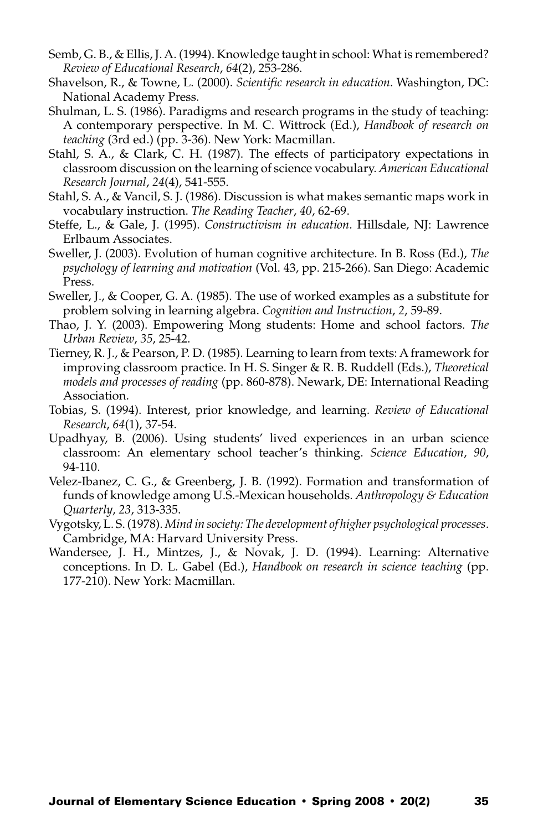- Semb, G. B., & Ellis, J. A. (1994). Knowledge taught in school: What is remembered? *Review of Educational Research*, *64*(2), 253-286.
- Shavelson, R., & Towne, L. (2000). *Scientific research in education*. Washington, DC: National Academy Press.
- Shulman, L. S. (1986). Paradigms and research programs in the study of teaching: A contemporary perspective. In M. C. Wittrock (Ed.), *Handbook of research on teaching* (3rd ed.) (pp. 3-36). New York: Macmillan.
- Stahl, S. A., & Clark, C. H. (1987). The effects of participatory expectations in classroom discussion on the learning of science vocabulary. *American Educational Research Journal*, *24*(4), 541-555.
- Stahl, S. A., & Vancil, S. J. (1986). Discussion is what makes semantic maps work in vocabulary instruction. *The Reading Teacher*, *40*, 62-69.
- Steffe, L., & Gale, J. (1995). *Constructivism in education*. Hillsdale, NJ: Lawrence Erlbaum Associates.
- Sweller, J. (2003). Evolution of human cognitive architecture. In B. Ross (Ed.), *The psychology of learning and motivation* (Vol. 43, pp. 215-266). San Diego: Academic Press.
- Sweller, J., & Cooper, G. A. (1985). The use of worked examples as a substitute for problem solving in learning algebra. *Cognition and Instruction*, *2*, 59-89.
- Thao, J. Y. (2003). Empowering Mong students: Home and school factors. *The Urban Review*, *35*, 25-42.
- Tierney, R. J., & Pearson, P. D. (1985). Learning to learn from texts: A framework for improving classroom practice. In H. S. Singer & R. B. Ruddell (Eds.), *Theoretical models and processes of reading* (pp. 860-878). Newark, DE: International Reading Association.
- Tobias, S. (1994). Interest, prior knowledge, and learning. *Review of Educational Research*, *64*(1), 37-54.
- Upadhyay, B. (2006). Using students' lived experiences in an urban science classroom: An elementary school teacher's thinking. *Science Education*, *90*, 94-110.
- Velez-Ibanez, C. G., & Greenberg, J. B. (1992). Formation and transformation of funds of knowledge among U.S.-Mexican households. *Anthropology & Education Quarterly*, *23*, 313-335.
- Vygotsky, L. S. (1978). *Mind in society: The development of higher psychological processes*. Cambridge, MA: Harvard University Press.
- Wandersee, J. H., Mintzes, J., & Novak, J. D. (1994). Learning: Alternative conceptions. In D. L. Gabel (Ed.), *Handbook on research in science teaching* (pp. 177-210). New York: Macmillan.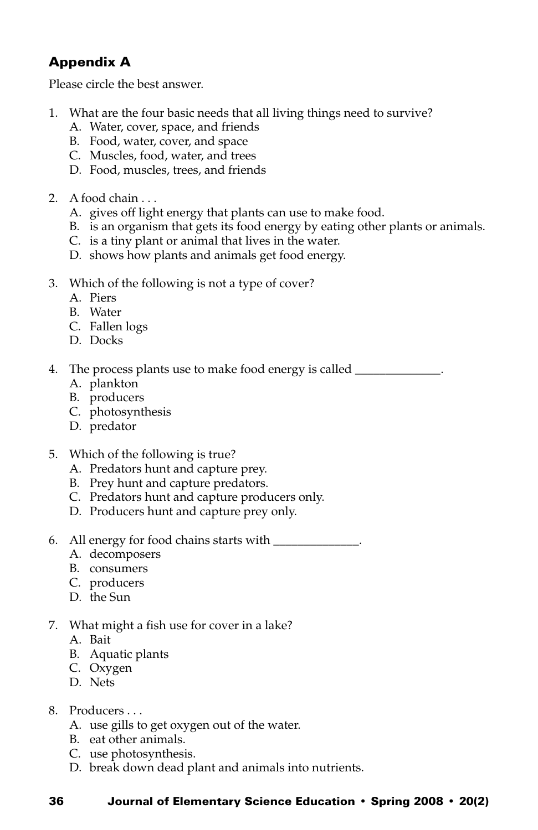## Appendix A

Please circle the best answer.

- 1. What are the four basic needs that all living things need to survive?
	- A. Water, cover, space, and friends
	- B. Food, water, cover, and space
	- C. Muscles, food, water, and trees
	- D. Food, muscles, trees, and friends
- 2. A food chain . . .
	- A. gives off light energy that plants can use to make food.
	- B. is an organism that gets its food energy by eating other plants or animals.
	- C. is a tiny plant or animal that lives in the water.
	- D. shows how plants and animals get food energy.
- 3. Which of the following is not a type of cover?
	- A. Piers
	- B. Water
	- C. Fallen logs
	- D. Docks

4. The process plants use to make food energy is called \_\_\_\_\_\_\_\_\_\_\_\_\_\_.

- A. plankton
- B. producers
- C. photosynthesis
- D. predator
- 5. Which of the following is true?
	- A. Predators hunt and capture prey.
	- B. Prey hunt and capture predators.
	- C. Predators hunt and capture producers only.
	- D. Producers hunt and capture prey only.
- 6. All energy for food chains starts with \_\_\_\_\_\_\_\_\_\_\_\_\_\_.
	- A. decomposers
	- B. consumers
	- C. producers
	- D. the Sun
- 7. What might a fish use for cover in a lake?
	- A. Bait
	- B. Aquatic plants
	- C. Oxygen
	- D. Nets
- 8. Producers . . .
	- A. use gills to get oxygen out of the water.
	- B. eat other animals.
	- C. use photosynthesis.
	- D. break down dead plant and animals into nutrients.